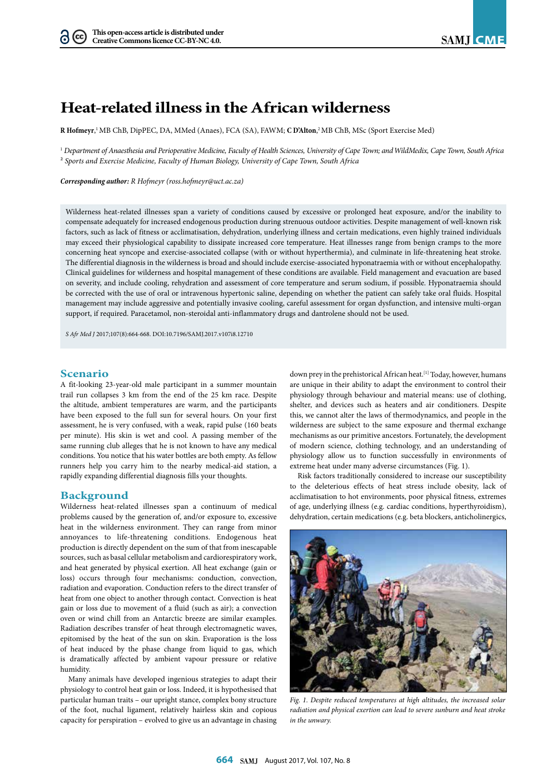# **Heat-related illness in the African wilderness**

**R Hofmeyr**, 1 MB ChB, DipPEC, DA, MMed (Anaes), FCA (SA), FAWM; **C D'Alton**, 2 MB ChB, MSc (Sport Exercise Med)

1  *Department of Anaesthesia and Perioperative Medicine, Faculty of Health Sciences, University of Cape Town; andWildMedix, Cape Town, South Africa* 2 *Sports and Exercise Medicine, Faculty of Human Biology, University of Cape Town, South Africa*

*Corresponding author: R Hofmeyr ([ross.hofmeyr@uct.ac.za](mailto:ross.hofmeyr@uct.ac.za))*

Wilderness heat-related illnesses span a variety of conditions caused by excessive or prolonged heat exposure, and/or the inability to compensate adequately for increased endogenous production during strenuous outdoor activities. Despite management of well-known risk factors, such as lack of fitness or acclimatisation, dehydration, underlying illness and certain medications, even highly trained individuals may exceed their physiological capability to dissipate increased core temperature. Heat illnesses range from benign cramps to the more concerning heat syncope and exercise-associated collapse (with or without hyperthermia), and culminate in life-threatening heat stroke. The differential diagnosis in the wilderness is broad and should include exercise-associated hyponatraemia with or without encephalopathy. Clinical guidelines for wilderness and hospital management of these conditions are available. Field management and evacuation are based on severity, and include cooling, rehydration and assessment of core temperature and serum sodium, if possible. Hyponatraemia should be corrected with the use of oral or intravenous hypertonic saline, depending on whether the patient can safely take oral fluids. Hospital management may include aggressive and potentially invasive cooling, careful assessment for organ dysfunction, and intensive multi-organ support, if required. Paracetamol, non-steroidal anti-inflammatory drugs and dantrolene should not be used.

*S Afr Med J* 2017;107(8):664-668. DOI[:10.7196/SAMJ.](10.7196/SAMJ)2017.v107i8.12710

## **Scenario**

A fit-looking 23-year-old male participant in a summer mountain trail run collapses 3 km from the end of the 25 km race. Despite the altitude, ambient temperatures are warm, and the participants have been exposed to the full sun for several hours. On your first assessment, he is very confused, with a weak, rapid pulse (160 beats per minute). His skin is wet and cool. A passing member of the same running club alleges that he is not known to have any medical conditions. You notice that his water bottles are both empty. As fellow runners help you carry him to the nearby medical-aid station, a rapidly expanding differential diagnosis fills your thoughts.

### **Background**

Wilderness heat-related illnesses span a continuum of medical problems caused by the generation of, and/or exposure to, excessive heat in the wilderness environment. They can range from minor annoyances to life-threatening conditions. Endogenous heat production is directly dependent on the sum of that from inescapable sources, such as basal cellular metabolism and cardiorespiratory work, and heat generated by physical exertion. All heat exchange (gain or loss) occurs through four mechanisms: conduction, convection, radiation and evaporation. Conduction refers to the direct transfer of heat from one object to another through contact. Convection is heat gain or loss due to movement of a fluid (such as air); a convection oven or wind chill from an Antarctic breeze are similar examples. Radiation describes transfer of heat through electromagnetic waves, epitomised by the heat of the sun on skin. Evaporation is the loss of heat induced by the phase change from liquid to gas, which is dramatically affected by ambient vapour pressure or relative humidity.

Many animals have developed ingenious strategies to adapt their physiology to control heat gain or loss. Indeed, it is hypothesised that particular human traits – our upright stance, complex bony structure of the foot, nuchal ligament, relatively hairless skin and copious capacity for perspiration – evolved to give us an advantage in chasing down prey in the prehistorical African heat.<sup>[1]</sup> Today, however, humans are unique in their ability to adapt the environment to control their physiology through behaviour and material means: use of clothing, shelter, and devices such as heaters and air conditioners. Despite this, we cannot alter the laws of thermodynamics, and people in the wilderness are subject to the same exposure and thermal exchange mechanisms as our primitive ancestors. Fortunately, the development of modern science, clothing technology, and an understanding of physiology allow us to function successfully in environments of extreme heat under many adverse circumstances (Fig. 1).

Risk factors traditionally considered to increase our susceptibility to the deleterious effects of heat stress include obesity, lack of acclimatisation to hot environments, poor physical fitness, extremes of age, underlying illness (e.g. cardiac conditions, hyperthyroidism), dehydration, certain medications (e.g. beta blockers, anticholinergics,



*Fig. 1. Despite reduced temperatures at high altitudes, the increased solar radiation and physical exertion can lead to severe sunburn and heat stroke in the unwary.*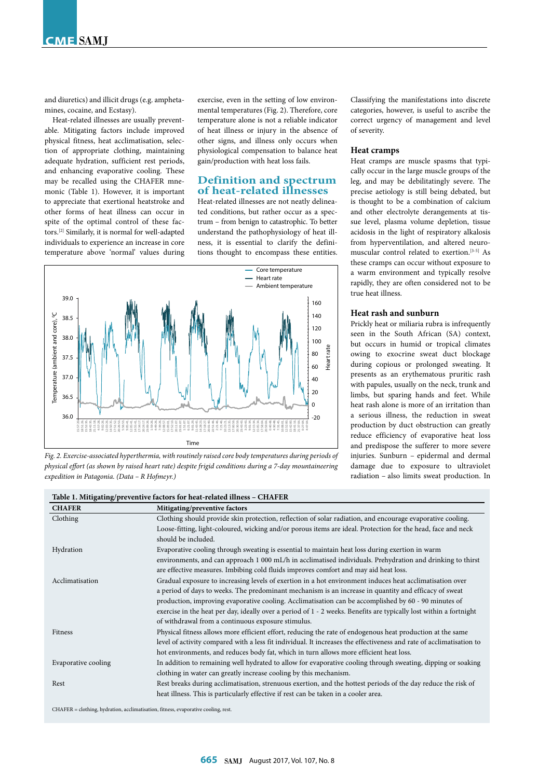and diuretics) and illicit drugs (e.g. amphetamines, cocaine, and Ecstasy).

Heat-related illnesses are usually preventable. Mitigating factors include improved physical fitness, heat acclimatisation, selection of appropriate clothing, maintaining adequate hydration, sufficient rest periods, and enhancing evaporative cooling. These may be recalled using the CHAFER mnemonic (Table 1). However, it is important to appreciate that exertional heatstroke and other forms of heat illness can occur in spite of the optimal control of these factors.[2] Similarly, it is normal for well-adapted individuals to experience an increase in core temperature above 'normal' values during exercise, even in the setting of low environmental temperatures (Fig. 2). Therefore, core temperature alone is not a reliable indicator of heat illness or injury in the absence of other signs, and illness only occurs when physiological compensation to balance heat gain/production with heat loss fails.

# **Definition and spectrum of heat-related illnesses**

Heat-related illnesses are not neatly delineated conditions, but rather occur as a spectrum – from benign to catastrophic. To better understand the pathophysiology of heat illness, it is essential to clarify the definitions thought to encompass these entities.



*Fig. 2. Exercise-associated hyperthermia, with routinely raised core body temperatures during periods of physical effort (as shown by raised heart rate) despite frigid conditions during a 7-day mountaineering expedition in Patagonia. (Data – R Hofmeyr.)*

**Table 1. Mitigating/preventive factors for heat-related illness – CHAFER**

Classifying the manifestations into discrete categories, however, is useful to ascribe the correct urgency of management and level of severity.

#### **Heat cramps**

Heat cramps are muscle spasms that typically occur in the large muscle groups of the leg, and may be debilitatingly severe. The precise aetiology is still being debated, but is thought to be a combination of calcium and other electrolyte derangements at tissue level, plasma volume depletion, tissue acidosis in the light of respiratory alkalosis from hyperventilation, and altered neuromuscular control related to exertion.[3-5] As these cramps can occur without exposure to a warm environment and typically resolve rapidly, they are often considered not to be true heat illness.

#### **Heat rash and sunburn**

Prickly heat or miliaria rubra is infrequently seen in the South African (SA) context, but occurs in humid or tropical climates owing to exocrine sweat duct blockage during copious or prolonged sweating. It presents as an erythematous pruritic rash with papules, usually on the neck, trunk and limbs, but sparing hands and feet. While heat rash alone is more of an irritation than a serious illness, the reduction in sweat production by duct obstruction can greatly reduce efficiency of evaporative heat loss and predispose the sufferer to more severe injuries. Sunburn – epidermal and dermal damage due to exposure to ultraviolet radiation – also limits sweat production. In

| <b>CHAFER</b>       | Mitigating/preventive factors                                                                                        |
|---------------------|----------------------------------------------------------------------------------------------------------------------|
| Clothing            | Clothing should provide skin protection, reflection of solar radiation, and encourage evaporative cooling.           |
|                     | Loose-fitting, light-coloured, wicking and/or porous items are ideal. Protection for the head, face and neck         |
|                     | should be included.                                                                                                  |
| Hydration           | Evaporative cooling through sweating is essential to maintain heat loss during exertion in warm                      |
|                     | environments, and can approach 1 000 mL/h in acclimatised individuals. Prehydration and drinking to thirst           |
|                     | are effective measures. Imbibing cold fluids improves comfort and may aid heat loss.                                 |
| Acclimatisation     | Gradual exposure to increasing levels of exertion in a hot environment induces heat acclimatisation over             |
|                     | a period of days to weeks. The predominant mechanism is an increase in quantity and efficacy of sweat                |
|                     | production, improving evaporative cooling. Acclimatisation can be accomplished by 60 - 90 minutes of                 |
|                     | exercise in the heat per day, ideally over a period of 1 - 2 weeks. Benefits are typically lost within a fortnight   |
|                     | of withdrawal from a continuous exposure stimulus.                                                                   |
| <b>Fitness</b>      | Physical fitness allows more efficient effort, reducing the rate of endogenous heat production at the same           |
|                     | level of activity compared with a less fit individual. It increases the effectiveness and rate of acclimatisation to |
|                     | hot environments, and reduces body fat, which in turn allows more efficient heat loss.                               |
| Evaporative cooling | In addition to remaining well hydrated to allow for evaporative cooling through sweating, dipping or soaking         |
|                     | clothing in water can greatly increase cooling by this mechanism.                                                    |
| Rest                | Rest breaks during acclimatisation, strenuous exertion, and the hottest periods of the day reduce the risk of        |
|                     | heat illness. This is particularly effective if rest can be taken in a cooler area.                                  |
|                     |                                                                                                                      |

CHAFER = clothing, hydration, acclimatisation, fitness, evaporative cooling, rest.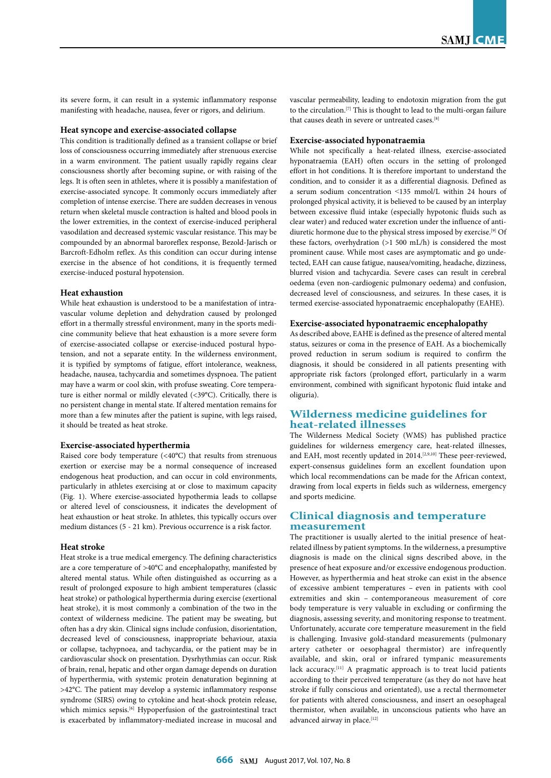its severe form, it can result in a systemic inflammatory response manifesting with headache, nausea, fever or rigors, and delirium.

#### **Heat syncope and exercise-associated collapse**

This condition is traditionally defined as a transient collapse or brief loss of consciousness occurring immediately after strenuous exercise in a warm environment. The patient usually rapidly regains clear consciousness shortly after becoming supine, or with raising of the legs. It is often seen in athletes, where it is possibly a manifestation of exercise-associated syncope. It commonly occurs immediately after completion of intense exercise. There are sudden decreases in venous return when skeletal muscle contraction is halted and blood pools in the lower extremities, in the context of exercise-induced peripheral vasodilation and decreased systemic vascular resistance. This may be compounded by an abnormal baroreflex response, Bezold-Jarisch or Barcroft-Edholm reflex. As this condition can occur during intense exercise in the absence of hot conditions, it is frequently termed exercise-induced postural hypotension.

#### **Heat exhaustion**

While heat exhaustion is understood to be a manifestation of intravascular volume depletion and dehydration caused by prolonged effort in a thermally stressful environment, many in the sports medicine community believe that heat exhaustion is a more severe form of exercise-associated collapse or exercise-induced postural hypotension, and not a separate entity. In the wilderness environment, it is typified by symptoms of fatigue, effort intolerance, weakness, headache, nausea, tachycardia and sometimes dyspnoea. The patient may have a warm or cool skin, with profuse sweating. Core temperature is either normal or mildly elevated (<39°C). Critically, there is no persistent change in mental state. If altered mentation remains for more than a few minutes after the patient is supine, with legs raised, it should be treated as heat stroke.

#### **Exercise-associated hyperthermia**

Raised core body temperature (<40°C) that results from strenuous exertion or exercise may be a normal consequence of increased endogenous heat production, and can occur in cold environments, particularly in athletes exercising at or close to maximum capacity (Fig. 1). Where exercise-associated hypothermia leads to collapse or altered level of consciousness, it indicates the development of heat exhaustion or heat stroke. In athletes, this typically occurs over medium distances (5 - 21 km). Previous occurrence is a risk factor.

#### **Heat stroke**

Heat stroke is a true medical emergency. The defining characteristics are a core temperature of >40°C and encephalopathy, manifested by altered mental status. While often distinguished as occurring as a result of prolonged exposure to high ambient temperatures (classic heat stroke) or pathological hyperthermia during exercise (exertional heat stroke), it is most commonly a combination of the two in the context of wilderness medicine. The patient may be sweating, but often has a dry skin. Clinical signs include confusion, disorientation, decreased level of consciousness, inappropriate behaviour, ataxia or collapse, tachypnoea, and tachycardia, or the patient may be in cardiovascular shock on presentation. Dysrhythmias can occur. Risk of brain, renal, hepatic and other organ damage depends on duration of hyperthermia, with systemic protein denaturation beginning at >42°C. The patient may develop a systemic inflammatory response syndrome (SIRS) owing to cytokine and heat-shock protein release, which mimics sepsis.<sup>[6]</sup> Hypoperfusion of the gastrointestinal tract is exacerbated by inflammatory-mediated increase in mucosal and vascular permeability, leading to endotoxin migration from the gut to the circulation.  ${}^{[7]}$  This is thought to lead to the multi-organ failure that causes death in severe or untreated cases.[8]

#### **Exercise-associated hyponatraemia**

While not specifically a heat-related illness, exercise-associated hyponatraemia (EAH) often occurs in the setting of prolonged effort in hot conditions. It is therefore important to understand the condition, and to consider it as a differential diagnosis. Defined as a serum sodium concentration ˂135 mmol/L within 24 hours of prolonged physical activity, it is believed to be caused by an interplay between excessive fluid intake (especially hypotonic fluids such as clear water) and reduced water excretion under the influence of antidiuretic hormone due to the physical stress imposed by exercise.<sup>[9]</sup> Of these factors, overhydration (>1 500 mL/h) is considered the most prominent cause. While most cases are asymptomatic and go undetected, EAH can cause fatigue, nausea/vomiting, headache, dizziness, blurred vision and tachycardia. Severe cases can result in cerebral oedema (even non-cardiogenic pulmonary oedema) and confusion, decreased level of consciousness, and seizures. In these cases, it is termed exercise-associated hyponatraemic encephalopathy (EAHE).

#### **Exercise-associated hyponatraemic encephalopathy**

As described above, EAHE is defined as the presence of altered mental status, seizures or coma in the presence of EAH. As a biochemically proved reduction in serum sodium is required to confirm the diagnosis, it should be considered in all patients presenting with appropriate risk factors (prolonged effort, particularly in a warm environment, combined with significant hypotonic fluid intake and oliguria).

# **Wilderness medicine guidelines for heat-related illnesses**

The Wilderness Medical Society (WMS) has published practice guidelines for wilderness emergency care, heat-related illnesses, and EAH, most recently updated in 2014.<sup>[2,9,10]</sup> These peer-reviewed, expert-consensus guidelines form an excellent foundation upon which local recommendations can be made for the African context, drawing from local experts in fields such as wilderness, emergency and sports medicine.

## **Clinical diagnosis and temperature measurement**

The practitioner is usually alerted to the initial presence of heatrelated illness by patient symptoms. In the wilderness, a presumptive diagnosis is made on the clinical signs described above, in the presence of heat exposure and/or excessive endogenous production. However, as hyperthermia and heat stroke can exist in the absence of excessive ambient temperatures – even in patients with cool extremities and skin – contemporaneous measurement of core body temperature is very valuable in excluding or confirming the diagnosis, assessing severity, and monitoring response to treatment. Unfortunately, accurate core temperature measurement in the field is challenging. Invasive gold-standard measurements (pulmonary artery catheter or oesophageal thermistor) are infrequently available, and skin, oral or infrared tympanic measurements lack accuracy.<sup>[11]</sup> A pragmatic approach is to treat lucid patients according to their perceived temperature (as they do not have heat stroke if fully conscious and orientated), use a rectal thermometer for patients with altered consciousness, and insert an oesophageal thermistor, when available, in unconscious patients who have an advanced airway in place.  $^{\left[12\right]}$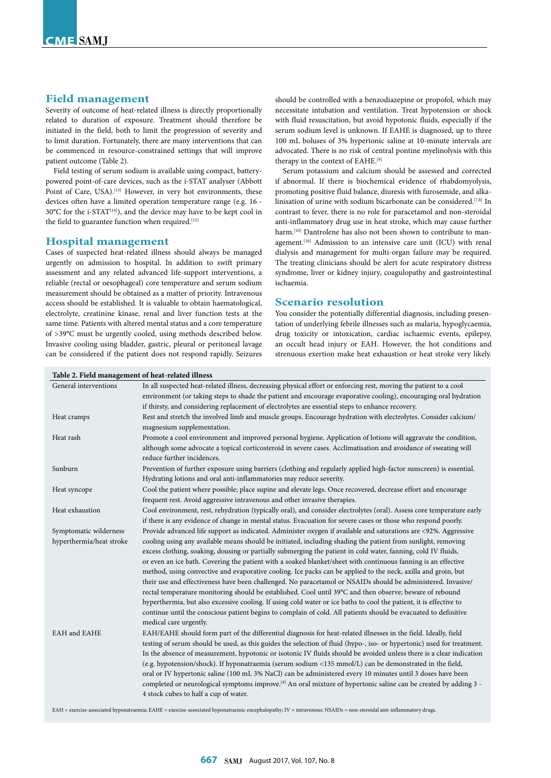# **Field management**

Severity of outcome of heat-related illness is directly proportionally related to duration of exposure. Treatment should therefore be initiated in the field, both to limit the progression of severity and to limit duration. Fortunately, there are many interventions that can be commenced in resource-constrained settings that will improve patient outcome (Table 2).

Field testing of serum sodium is available using compact, batterypowered point-of-care devices, such as the i-STAT analyser (Abbott Point of Care, USA).<sup>[13]</sup> However, in very hot environments, these devices often have a limited operation temperature range (e.g. 16 -  $30^{\circ}$ C for the i-STAT<sup>[14]</sup>), and the device may have to be kept cool in the field to guarantee function when required.<sup>[15]</sup>

#### **Hospital management**

Cases of suspected heat-related illness should always be managed urgently on admission to hospital. In addition to swift primary assessment and any related advanced life-support interventions, a reliable (rectal or oesophageal) core temperature and serum sodium measurement should be obtained as a matter of priority. Intravenous access should be established. It is valuable to obtain haematological, electrolyte, creatinine kinase, renal and liver function tests at the same time. Patients with altered mental status and a core temperature of >39°C must be urgently cooled, using methods described below. Invasive cooling using bladder, gastric, pleural or peritoneal lavage can be considered if the patient does not respond rapidly. Seizures should be controlled with a benzodiazepine or propofol, which may necessitate intubation and ventilation. Treat hypotension or shock with fluid resuscitation, but avoid hypotonic fluids, especially if the serum sodium level is unknown. If EAHE is diagnosed, up to three 100 mL boluses of 3% hypertonic saline at 10-minute intervals are advocated. There is no risk of central pontine myelinolysis with this therapy in the context of EAHE.[9]

Serum potassium and calcium should be assessed and corrected if abnormal. If there is biochemical evidence of rhabdomyolysis, promoting positive fluid balance, diuresis with furosemide, and alkalinisation of urine with sodium bicarbonate can be considered.[7,8] In contrast to fever, there is no role for paracetamol and non-steroidal anti-inflammatory drug use in heat stroke, which may cause further harm.<sup>[10]</sup> Dantrolene has also not been shown to contribute to management.<sup>[16]</sup> Admission to an intensive care unit (ICU) with renal dialysis and management for multi-organ failure may be required. The treating clinicians should be alert for acute respiratory distress syndrome, liver or kidney injury, coagulopathy and gastrointestinal ischaemia.

#### **Scenario resolution**

You consider the potentially differential diagnosis, including presentation of underlying febrile illnesses such as malaria, hypoglycaemia, drug toxicity or intoxication, cardiac ischaemic events, epilepsy, an occult head injury or EAH. However, the hot conditions and strenuous exertion make heat exhaustion or heat stroke very likely.

# **Table 2. Field management of heat-related illness**

| .orc 2. I ferd munus,ement of heat feated milest                                                                             |  |
|------------------------------------------------------------------------------------------------------------------------------|--|
| In all suspected heat-related illness, decreasing physical effort or enforcing rest, moving the patient to a cool            |  |
| environment (or taking steps to shade the patient and encourage evaporative cooling), encouraging oral hydration             |  |
| if thirsty, and considering replacement of electrolytes are essential steps to enhance recovery.                             |  |
| Rest and stretch the involved limb and muscle groups. Encourage hydration with electrolytes. Consider calcium/               |  |
| magnesium supplementation.                                                                                                   |  |
| Promote a cool environment and improved personal hygiene. Application of lotions will aggravate the condition,               |  |
| although some advocate a topical corticosteroid in severe cases. Acclimatisation and avoidance of sweating will              |  |
| reduce further incidences.                                                                                                   |  |
| Prevention of further exposure using barriers (clothing and regularly applied high-factor sunscreen) is essential.           |  |
| Hydrating lotions and oral anti-inflammatories may reduce severity.                                                          |  |
| Cool the patient where possible; place supine and elevate legs. Once recovered, decrease effort and encourage                |  |
| frequent rest. Avoid aggressive intravenous and other invasive therapies.                                                    |  |
| Cool environment, rest, rehydration (typically oral), and consider electrolytes (oral). Assess core temperature early        |  |
| if there is any evidence of change in mental status. Evacuation for severe cases or those who respond poorly.                |  |
| Provide advanced life support as indicated. Administer oxygen if available and saturations are <92%. Aggressive              |  |
| cooling using any available means should be initiated, including shading the patient from sunlight, removing                 |  |
| excess clothing, soaking, dousing or partially submerging the patient in cold water, fanning, cold IV fluids,                |  |
| or even an ice bath. Covering the patient with a soaked blanket/sheet with continuous fanning is an effective                |  |
| method, using convective and evaporative cooling. Ice packs can be applied to the neck, axilla and groin, but                |  |
| their use and effectiveness have been challenged. No paracetamol or NSAIDs should be administered. Invasive/                 |  |
| rectal temperature monitoring should be established. Cool until 39°C and then observe; beware of rebound                     |  |
| hyperthermia, but also excessive cooling. If using cold water or ice baths to cool the patient, it is effective to           |  |
| continue until the conscious patient begins to complain of cold. All patients should be evacuated to definitive              |  |
| medical care urgently.                                                                                                       |  |
| EAH/EAHE should form part of the differential diagnosis for heat-related illnesses in the field. Ideally, field              |  |
| testing of serum should be used, as this guides the selection of fluid (hypo-, iso- or hypertonic) used for treatment.       |  |
| In the absence of measurement, hypotonic or isotonic IV fluids should be avoided unless there is a clear indication          |  |
| (e.g. hypotension/shock). If hyponatraemia (serum sodium <135 mmol/L) can be demonstrated in the field,                      |  |
| oral or IV hypertonic saline (100 mL 3% NaCl) can be administered every 10 minutes until 3 doses have been                   |  |
| completed or neurological symptoms improve. <sup>[9]</sup> An oral mixture of hypertonic saline can be created by adding 3 - |  |
| 4 stock cubes to half a cup of water.                                                                                        |  |
|                                                                                                                              |  |

EAH = exercise-associated hyponatraemia; EAHE = exercise-associated hyponatraemic encephalopathy; IV = intravenous; NSAIDs = non-steroidal anti-inflammatory drugs